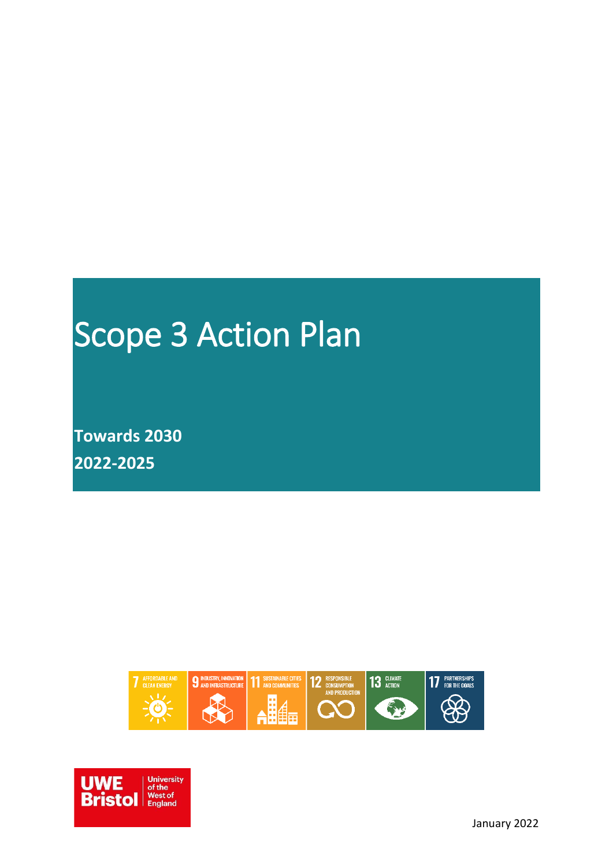# Scope 3 Action Plan

**Towards 2030 2022-2025**



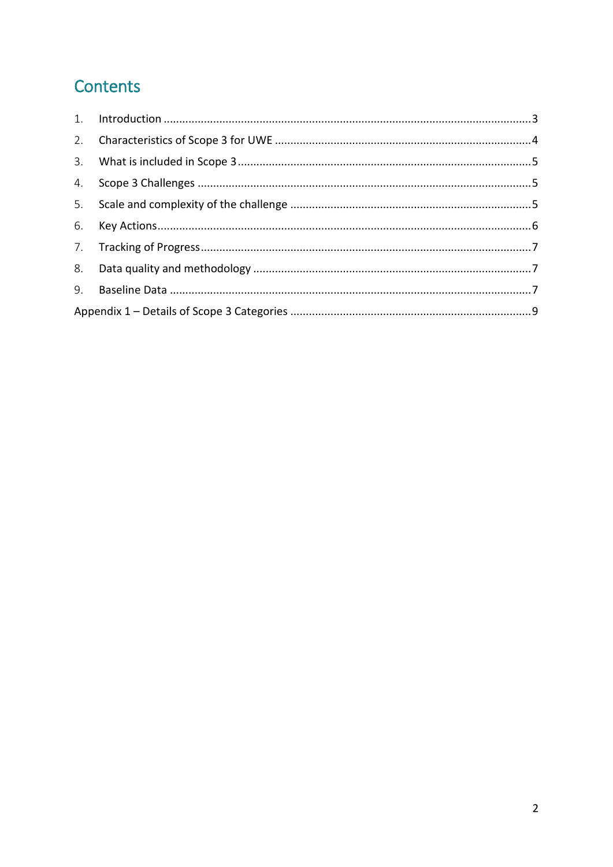### Contents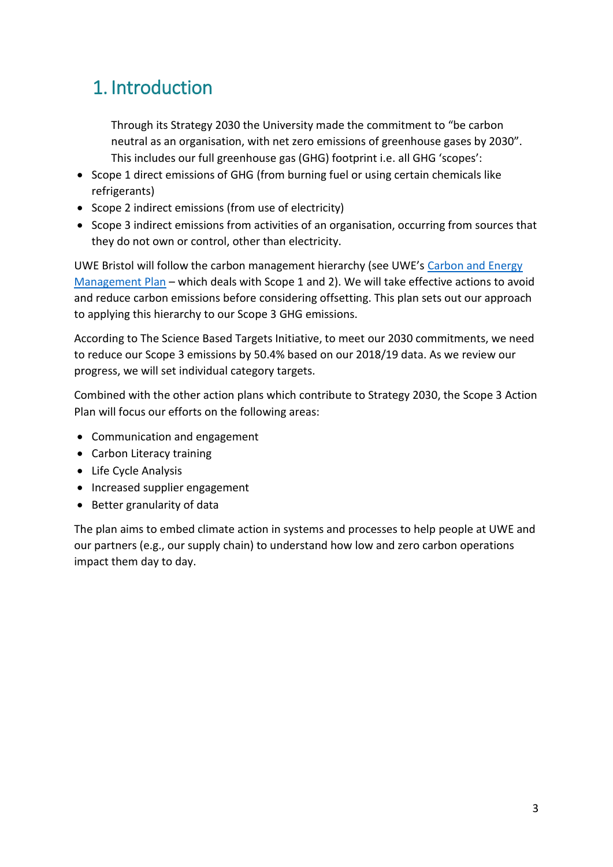# <span id="page-2-0"></span>1. Introduction

Through its Strategy 2030 the University made the commitment to "be carbon neutral as an organisation, with net zero emissions of greenhouse gases by 2030". This includes our full greenhouse gas (GHG) footprint i.e. all GHG 'scopes':

- Scope 1 direct emissions of GHG (from burning fuel or using certain chemicals like refrigerants)
- Scope 2 indirect emissions (from use of electricity)
- Scope 3 indirect emissions from activities of an organisation, occurring from sources that they do not own or control, other than electricity.

UWE Bristol will follow the carbon management hierarchy (see UWE's [Carbon and Energy](https://www.uwe.ac.uk/-/media/uwe/documents/about/sustainability/carbon-management-plan-2030-final.pdf)  [Management Plan](https://www.uwe.ac.uk/-/media/uwe/documents/about/sustainability/carbon-management-plan-2030-final.pdf) – which deals with Scope 1 and 2). We will take effective actions to avoid and reduce carbon emissions before considering offsetting. This plan sets out our approach to applying this hierarchy to our Scope 3 GHG emissions.

According to The Science Based Targets Initiative, to meet our 2030 commitments, we need to reduce our Scope 3 emissions by 50.4% based on our 2018/19 data. As we review our progress, we will set individual category targets.

Combined with the other action plans which contribute to Strategy 2030, the Scope 3 Action Plan will focus our efforts on the following areas:

- Communication and engagement
- Carbon Literacy training
- Life Cycle Analysis
- Increased supplier engagement
- Better granularity of data

<span id="page-2-1"></span>The plan aims to embed climate action in systems and processes to help people at UWE and our partners (e.g., our supply chain) to understand how low and zero carbon operations impact them day to day.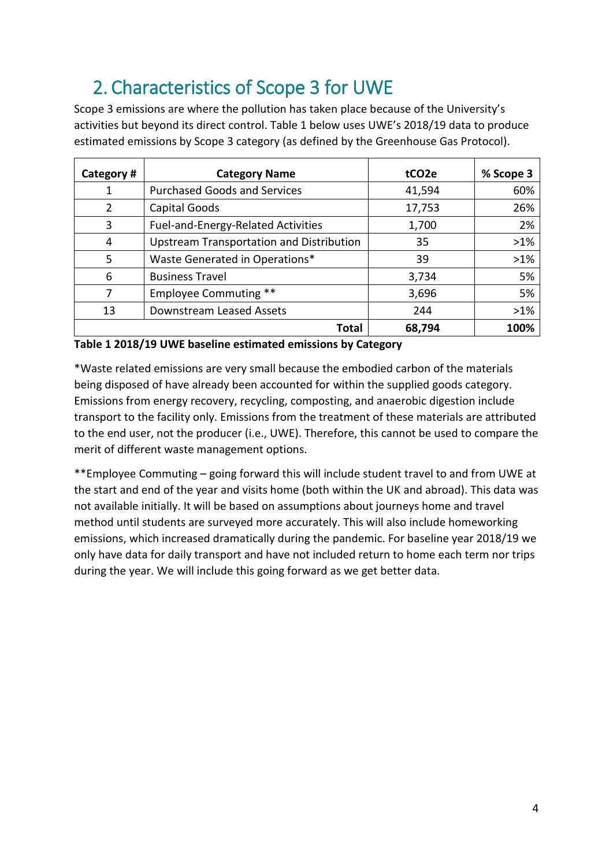# 2. Characteristics of Scope 3 for UWE

Scope 3 emissions are where the pollution has taken place because of the University's activities but beyond its direct control. Table 1 below uses UWE's 2018/19 data to produce estimated emissions by Scope 3 category (as defined by the Greenhouse Gas Protocol).

| Category #         | <b>Category Name</b>                            | tCO <sub>2</sub> e | % Scope 3 |
|--------------------|-------------------------------------------------|--------------------|-----------|
| 1                  | <b>Purchased Goods and Services</b>             |                    | 60%       |
| Capital Goods<br>2 |                                                 | 17,753             | 26%       |
| 3                  | Fuel-and-Energy-Related Activities              | 1,700              | 2%        |
| 4                  | <b>Upstream Transportation and Distribution</b> | 35                 | $>1\%$    |
| 5                  | Waste Generated in Operations*                  | 39                 | $>1\%$    |
| 6                  | <b>Business Travel</b>                          | 3,734              | 5%        |
| 7                  | <b>Employee Commuting **</b>                    | 3,696              | 5%        |
| 13                 | Downstream Leased Assets                        | 244                | $>1\%$    |
|                    | Total                                           | 68,794             | 100%      |

**Table 1 2018/19 UWE baseline estimated emissions by Category**

\*Waste related emissions are very small because the embodied carbon of the materials being disposed of have already been accounted for within the supplied goods category. Emissions from energy recovery, recycling, composting, and anaerobic digestion include transport to the facility only. Emissions from the treatment of these materials are attributed to the end user, not the producer (i.e., UWE). Therefore, this cannot be used to compare the merit of different waste management options.

<span id="page-3-0"></span>\*\*Employee Commuting – going forward this will include student travel to and from UWE at the start and end of the year and visits home (both within the UK and abroad). This data was not available initially. It will be based on assumptions about journeys home and travel method until students are surveyed more accurately. This will also include homeworking emissions, which increased dramatically during the pandemic. For baseline year 2018/19 we only have data for daily transport and have not included return to home each term nor trips during the year. We will include this going forward as we get better data.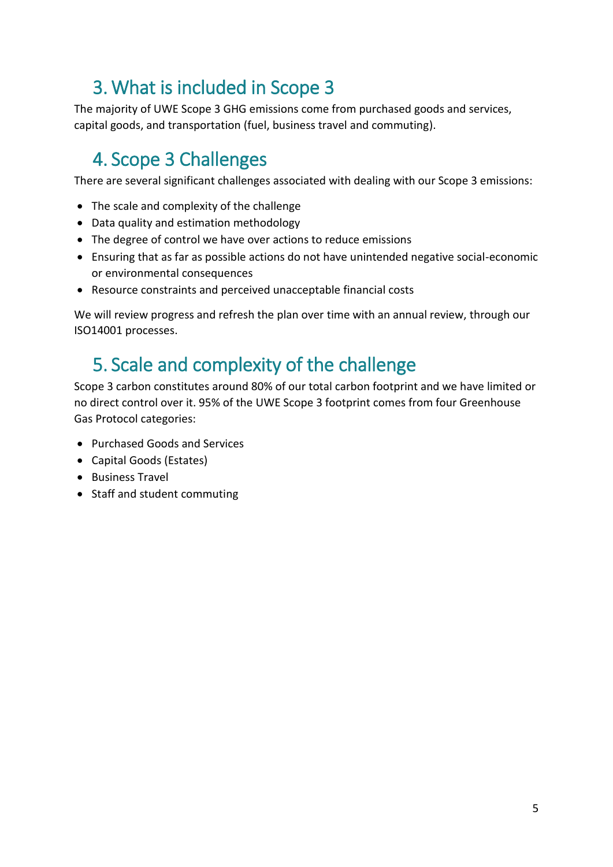## 3. What is included in Scope 3

The majority of UWE Scope 3 GHG emissions come from purchased goods and services, capital goods, and transportation (fuel, business travel and commuting).

## <span id="page-4-0"></span>4. Scope 3 Challenges

There are several significant challenges associated with dealing with our Scope 3 emissions:

- The scale and complexity of the challenge
- Data quality and estimation methodology
- The degree of control we have over actions to reduce emissions
- Ensuring that as far as possible actions do not have unintended negative social-economic or environmental consequences
- Resource constraints and perceived unacceptable financial costs

We will review progress and refresh the plan over time with an annual review, through our ISO14001 processes.

### <span id="page-4-1"></span>5. Scale and complexity of the challenge

Scope 3 carbon constitutes around 80% of our total carbon footprint and we have limited or no direct control over it. 95% of the UWE Scope 3 footprint comes from four Greenhouse Gas Protocol categories:

- Purchased Goods and Services
- Capital Goods (Estates)
- Business Travel
- <span id="page-4-2"></span>• Staff and student commuting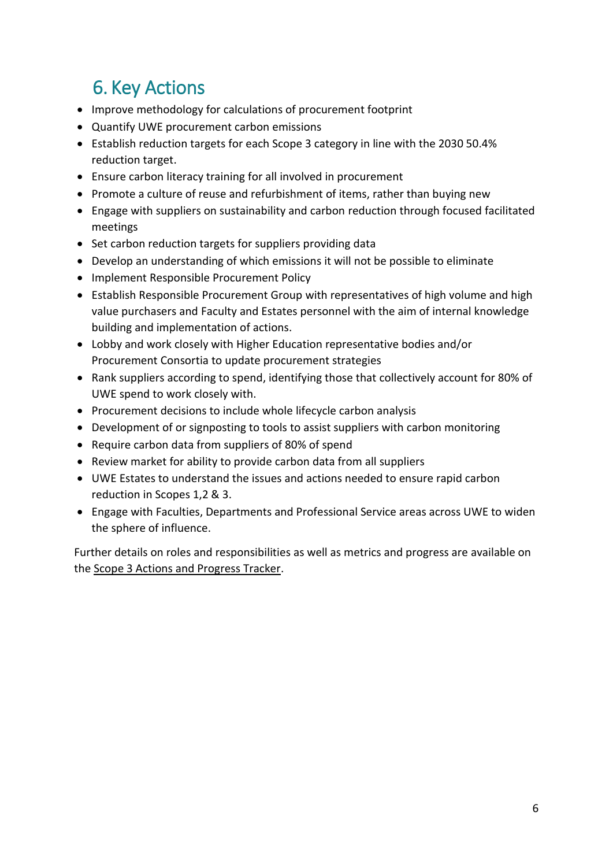# 6. Key Actions

- Improve methodology for calculations of procurement footprint
- Quantify UWE procurement carbon emissions
- Establish reduction targets for each Scope 3 category in line with the 2030 50.4% reduction target.
- Ensure carbon literacy training for all involved in procurement
- Promote a culture of reuse and refurbishment of items, rather than buying new
- Engage with suppliers on sustainability and carbon reduction through focused facilitated meetings
- Set carbon reduction targets for suppliers providing data
- Develop an understanding of which emissions it will not be possible to eliminate
- Implement Responsible Procurement Policy
- Establish Responsible Procurement Group with representatives of high volume and high value purchasers and Faculty and Estates personnel with the aim of internal knowledge building and implementation of actions.
- Lobby and work closely with Higher Education representative bodies and/or Procurement Consortia to update procurement strategies
- Rank suppliers according to spend, identifying those that collectively account for 80% of UWE spend to work closely with.
- Procurement decisions to include whole lifecycle carbon analysis
- Development of or signposting to tools to assist suppliers with carbon monitoring
- Require carbon data from suppliers of 80% of spend
- Review market for ability to provide carbon data from all suppliers
- UWE Estates to understand the issues and actions needed to ensure rapid carbon reduction in Scopes 1,2 & 3.
- Engage with Faculties, Departments and Professional Service areas across UWE to widen the sphere of influence.

<span id="page-5-0"></span>Further details on roles and responsibilities as well as metrics and progress are available on the Scope 3 Actions and Progress Tracker.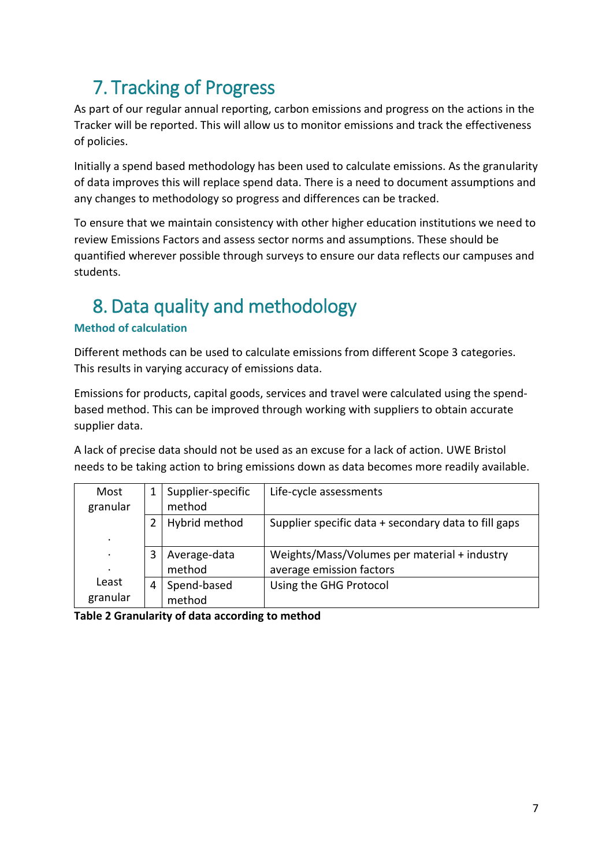# 7. Tracking of Progress

As part of our regular annual reporting, carbon emissions and progress on the actions in the Tracker will be reported. This will allow us to monitor emissions and track the effectiveness of policies.

Initially a spend based methodology has been used to calculate emissions. As the granularity of data improves this will replace spend data. There is a need to document assumptions and any changes to methodology so progress and differences can be tracked.

To ensure that we maintain consistency with other higher education institutions we need to review Emissions Factors and assess sector norms and assumptions. These should be quantified wherever possible through surveys to ensure our data reflects our campuses and students.

# <span id="page-6-0"></span>8. Data quality and methodology

### **Method of calculation**

Different methods can be used to calculate emissions from different Scope 3 categories. This results in varying accuracy of emissions data.

Emissions for products, capital goods, services and travel were calculated using the spendbased method. This can be improved through working with suppliers to obtain accurate supplier data.

A lack of precise data should not be used as an excuse for a lack of action. UWE Bristol needs to be taking action to bring emissions down as data becomes more readily available.

| Most<br>granular  | Supplier-specific<br>method |                        | Life-cycle assessments                                                   |  |
|-------------------|-----------------------------|------------------------|--------------------------------------------------------------------------|--|
| $\cdot$           |                             | Hybrid method          | Supplier specific data + secondary data to fill gaps                     |  |
| ٠                 |                             | Average-data<br>method | Weights/Mass/Volumes per material + industry<br>average emission factors |  |
| Least<br>granular | 4                           | Spend-based<br>method  | Using the GHG Protocol                                                   |  |

<span id="page-6-1"></span>**Table 2 Granularity of data according to method**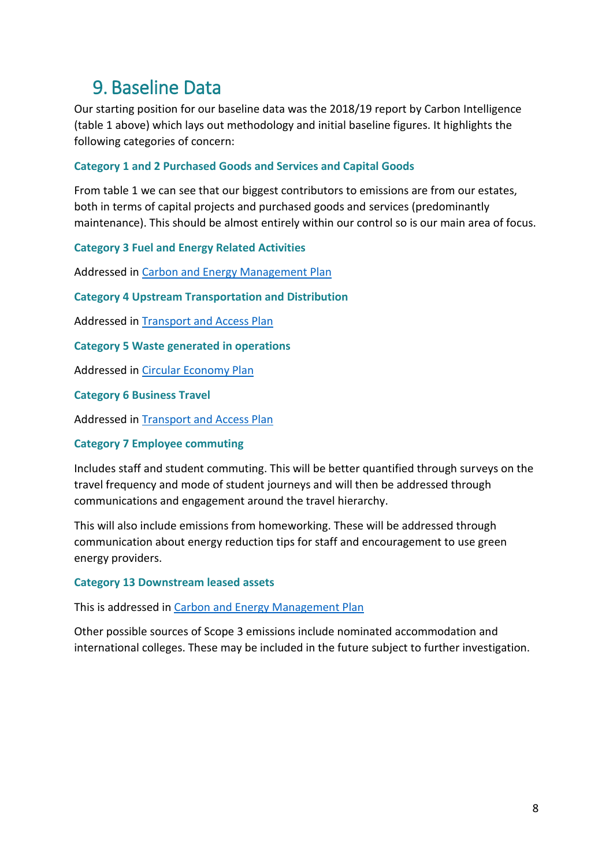### 9. Baseline Data

Our starting position for our baseline data was the 2018/19 report by Carbon Intelligence (table 1 above) which lays out methodology and initial baseline figures. It highlights the following categories of concern:

#### **Category 1 and 2 Purchased Goods and Services and Capital Goods**

From table 1 we can see that our biggest contributors to emissions are from our estates, both in terms of capital projects and purchased goods and services (predominantly maintenance). This should be almost entirely within our control so is our main area of focus.

#### **Category 3 Fuel and Energy Related Activities**

Addressed in [Carbon and Energy Management Plan](https://www.uwe.ac.uk/-/media/uwe/documents/about/sustainability/carbon-management-plan-2030-final.pdf)

**Category 4 Upstream Transportation and Distribution**

Addressed in [Transport and Access Plan](https://www.uwe.ac.uk/-/media/uwe/documents/about/sustainability/travel_action_plan_route_to_2030.pdf)

**Category 5 Waste generated in operations**

Addressed in [Circular Economy Plan](https://www.uwe.ac.uk/-/media/uwe/documents/about/sustainability/circular_economy_plan_2020-30.pdf)

**Category 6 Business Travel**

Addressed in [Transport and Access Plan](https://www.uwe.ac.uk/-/media/uwe/documents/about/sustainability/travel_action_plan_route_to_2030.pdf)

#### **Category 7 Employee commuting**

Includes staff and student commuting. This will be better quantified through surveys on the travel frequency and mode of student journeys and will then be addressed through communications and engagement around the travel hierarchy.

This will also include emissions from homeworking. These will be addressed through communication about energy reduction tips for staff and encouragement to use green energy providers.

#### **Category 13 Downstream leased assets**

This is addressed in [Carbon and Energy Management Plan](https://www.uwe.ac.uk/-/media/uwe/documents/about/sustainability/carbon-management-plan-2030-final.pdf)

Other possible sources of Scope 3 emissions include nominated accommodation and international colleges. These may be included in the future subject to further investigation.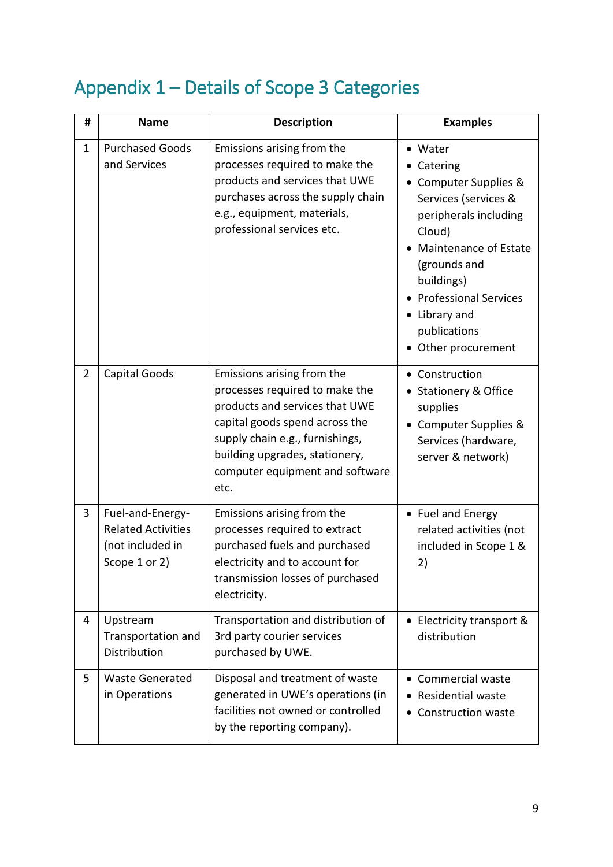# <span id="page-8-0"></span>Appendix 1 – Details of Scope 3 Categories

| #              | <b>Name</b>                                                                        | <b>Description</b>                                                                                                                                                                                                                               | <b>Examples</b>                                                                                                                                                                                                                                |
|----------------|------------------------------------------------------------------------------------|--------------------------------------------------------------------------------------------------------------------------------------------------------------------------------------------------------------------------------------------------|------------------------------------------------------------------------------------------------------------------------------------------------------------------------------------------------------------------------------------------------|
| 1              | <b>Purchased Goods</b><br>and Services                                             | Emissions arising from the<br>processes required to make the<br>products and services that UWE<br>purchases across the supply chain<br>e.g., equipment, materials,<br>professional services etc.                                                 | Water<br>Catering<br>Computer Supplies &<br>Services (services &<br>peripherals including<br>Cloud)<br>Maintenance of Estate<br>(grounds and<br>buildings)<br><b>Professional Services</b><br>Library and<br>publications<br>Other procurement |
| $\overline{2}$ | Capital Goods                                                                      | Emissions arising from the<br>processes required to make the<br>products and services that UWE<br>capital goods spend across the<br>supply chain e.g., furnishings,<br>building upgrades, stationery,<br>computer equipment and software<br>etc. | Construction<br>$\bullet$<br><b>Stationery &amp; Office</b><br>supplies<br>Computer Supplies &<br>Services (hardware,<br>server & network)                                                                                                     |
| 3              | Fuel-and-Energy-<br><b>Related Activities</b><br>(not included in<br>Scope 1 or 2) | Emissions arising from the<br>processes required to extract<br>purchased fuels and purchased<br>electricity and to account for<br>transmission losses of purchased<br>electricity.                                                               | • Fuel and Energy<br>related activities (not<br>included in Scope 1 &<br>2)                                                                                                                                                                    |
| 4              | Upstream<br>Transportation and<br>Distribution                                     | Transportation and distribution of<br>3rd party courier services<br>purchased by UWE.                                                                                                                                                            | • Electricity transport &<br>distribution                                                                                                                                                                                                      |
| 5              | <b>Waste Generated</b><br>in Operations                                            | Disposal and treatment of waste<br>generated in UWE's operations (in<br>facilities not owned or controlled<br>by the reporting company).                                                                                                         | • Commercial waste<br><b>Residential waste</b><br><b>Construction waste</b>                                                                                                                                                                    |